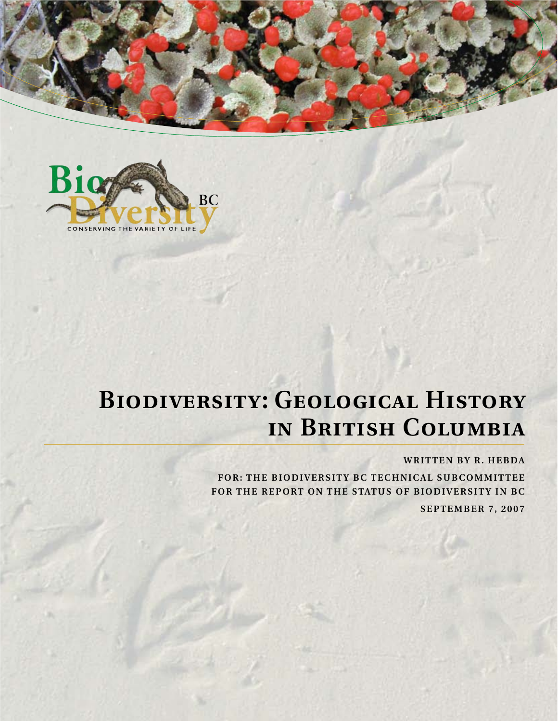



# **Biodiversity: Geological History in British Columbia**

#### **WRITTEN BY R. HEBDA**

**FOR: THE BIODIVERSITY BC TECHNICAL SUBCOMMITTEE FOR THE REPORT ON THE STATUS OF BIODIVERSITY IN BC**

 **SEPTEMBER 7, 2007**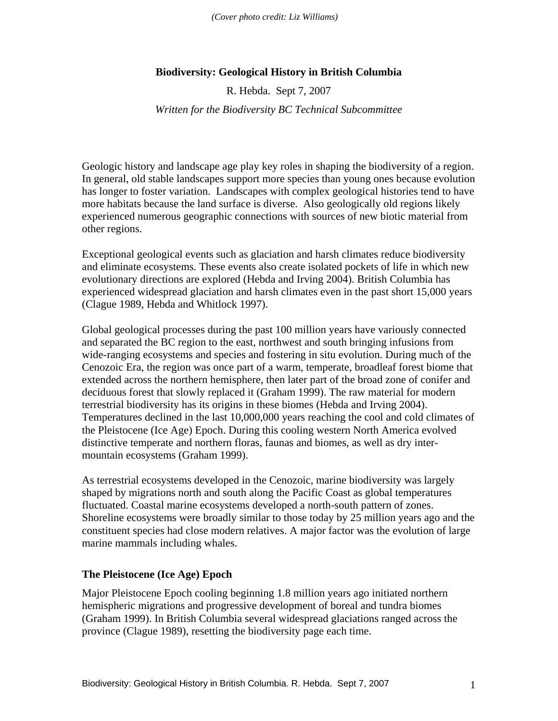*(Cover photo credit: Liz Williams)*

### **Biodiversity: Geological History in British Columbia**

R. Hebda. Sept 7, 2007

*Written for the Biodiversity BC Technical Subcommittee* 

Geologic history and landscape age play key roles in shaping the biodiversity of a region. In general, old stable landscapes support more species than young ones because evolution has longer to foster variation. Landscapes with complex geological histories tend to have more habitats because the land surface is diverse. Also geologically old regions likely experienced numerous geographic connections with sources of new biotic material from other regions.

Exceptional geological events such as glaciation and harsh climates reduce biodiversity and eliminate ecosystems. These events also create isolated pockets of life in which new evolutionary directions are explored (Hebda and Irving 2004). British Columbia has experienced widespread glaciation and harsh climates even in the past short 15,000 years (Clague 1989, Hebda and Whitlock 1997).

Global geological processes during the past 100 million years have variously connected and separated the BC region to the east, northwest and south bringing infusions from wide-ranging ecosystems and species and fostering in situ evolution. During much of the Cenozoic Era, the region was once part of a warm, temperate, broadleaf forest biome that extended across the northern hemisphere, then later part of the broad zone of conifer and deciduous forest that slowly replaced it (Graham 1999). The raw material for modern terrestrial biodiversity has its origins in these biomes (Hebda and Irving 2004). Temperatures declined in the last 10,000,000 years reaching the cool and cold climates of the Pleistocene (Ice Age) Epoch. During this cooling western North America evolved distinctive temperate and northern floras, faunas and biomes, as well as dry intermountain ecosystems (Graham 1999).

As terrestrial ecosystems developed in the Cenozoic, marine biodiversity was largely shaped by migrations north and south along the Pacific Coast as global temperatures fluctuated. Coastal marine ecosystems developed a north-south pattern of zones. Shoreline ecosystems were broadly similar to those today by 25 million years ago and the constituent species had close modern relatives. A major factor was the evolution of large marine mammals including whales.

#### **The Pleistocene (Ice Age) Epoch**

Major Pleistocene Epoch cooling beginning 1.8 million years ago initiated northern hemispheric migrations and progressive development of boreal and tundra biomes (Graham 1999). In British Columbia several widespread glaciations ranged across the province (Clague 1989), resetting the biodiversity page each time.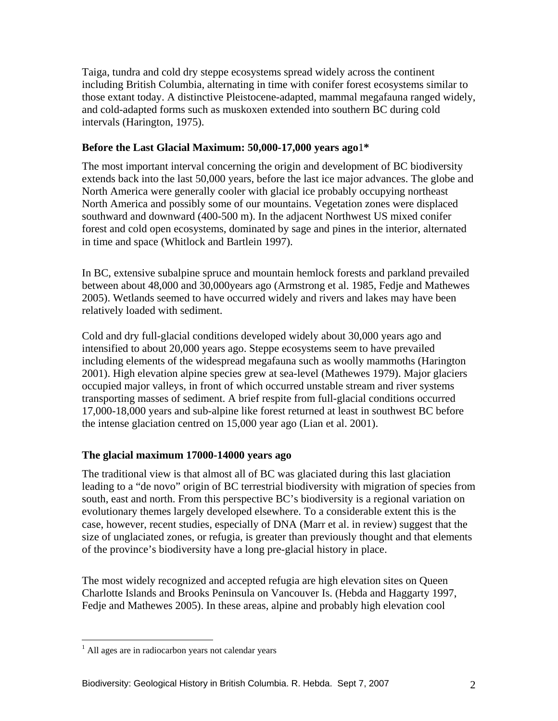Taiga, tundra and cold dry steppe ecosystems spread widely across the continent including British Columbia, alternating in time with conifer forest ecosystems similar to those extant today. A distinctive Pleistocene-adapted, mammal megafauna ranged widely, and cold-adapted forms such as muskoxen extended into southern BC during cold intervals (Harington, 1975).

## **Before the Last Glacial Maximum: 50,000-17,000 years ago**1**\***

The most important interval concerning the origin and development of BC biodiversity extends back into the last 50,000 years, before the last ice major advances. The globe and North America were generally cooler with glacial ice probably occupying northeast North America and possibly some of our mountains. Vegetation zones were displaced southward and downward (400-500 m). In the adjacent Northwest US mixed conifer forest and cold open ecosystems, dominated by sage and pines in the interior, alternated in time and space (Whitlock and Bartlein 1997).

In BC, extensive subalpine spruce and mountain hemlock forests and parkland prevailed between about 48,000 and 30,000years ago (Armstrong et al. 1985, Fedje and Mathewes 2005). Wetlands seemed to have occurred widely and rivers and lakes may have been relatively loaded with sediment.

Cold and dry full-glacial conditions developed widely about 30,000 years ago and intensified to about 20,000 years ago. Steppe ecosystems seem to have prevailed including elements of the widespread megafauna such as woolly mammoths (Harington 2001). High elevation alpine species grew at sea-level (Mathewes 1979). Major glaciers occupied major valleys, in front of which occurred unstable stream and river systems transporting masses of sediment. A brief respite from full-glacial conditions occurred 17,000-18,000 years and sub-alpine like forest returned at least in southwest BC before the intense glaciation centred on 15,000 year ago (Lian et al. 2001).

# **The glacial maximum 17000-14000 years ago**

The traditional view is that almost all of BC was glaciated during this last glaciation leading to a "de novo" origin of BC terrestrial biodiversity with migration of species from south, east and north. From this perspective BC's biodiversity is a regional variation on evolutionary themes largely developed elsewhere. To a considerable extent this is the case, however, recent studies, especially of DNA (Marr et al. in review) suggest that the size of unglaciated zones, or refugia, is greater than previously thought and that elements of the province's biodiversity have a long pre-glacial history in place.

The most widely recognized and accepted refugia are high elevation sites on Queen Charlotte Islands and Brooks Peninsula on Vancouver Is. (Hebda and Haggarty 1997, Fedje and Mathewes 2005). In these areas, alpine and probably high elevation cool

 1 All ages are in radiocarbon years not calendar years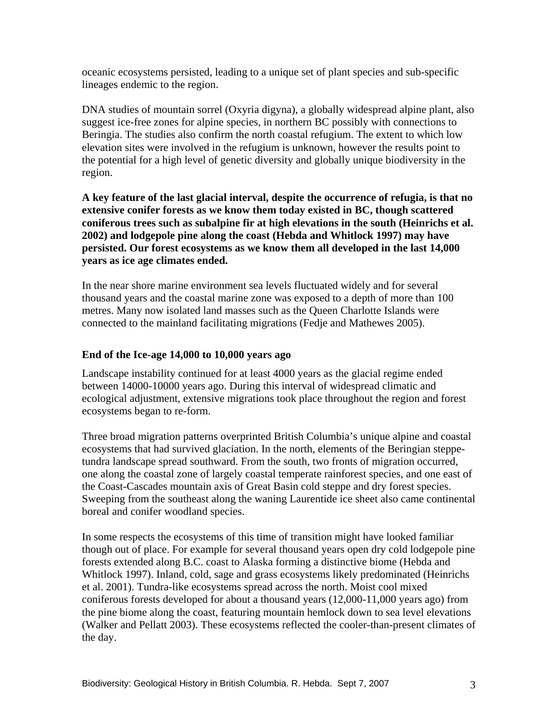oceanic ecosystems persisted, leading to a unique set of plant species and sub-specific lineages endemic to the region.

DNA studies of mountain sorrel (Oxyria digyna), a globally widespread alpine plant, also suggest ice-free zones for alpine species, in northern BC possibly with connections to Beringia. The studies also confirm the north coastal refugium. The extent to which low elevation sites were involved in the refugium is unknown, however the results point to the potential for a high level of genetic diversity and globally unique biodiversity in the region.

**A key feature of the last glacial interval, despite the occurrence of refugia, is that no extensive conifer forests as we know them today existed in BC, though scattered coniferous trees such as subalpine fir at high elevations in the south (Heinrichs et al. 2002) and lodgepole pine along the coast (Hebda and Whitlock 1997) may have persisted. Our forest ecosystems as we know them all developed in the last 14,000 years as ice age climates ended.** 

In the near shore marine environment sea levels fluctuated widely and for several thousand years and the coastal marine zone was exposed to a depth of more than 100 metres. Many now isolated land masses such as the Queen Charlotte Islands were connected to the mainland facilitating migrations (Fedje and Mathewes 2005).

## **End of the Ice-age 14,000 to 10,000 years ago**

Landscape instability continued for at least 4000 years as the glacial regime ended between 14000-10000 years ago. During this interval of widespread climatic and ecological adjustment, extensive migrations took place throughout the region and forest ecosystems began to re-form.

Three broad migration patterns overprinted British Columbia's unique alpine and coastal ecosystems that had survived glaciation. In the north, elements of the Beringian steppetundra landscape spread southward. From the south, two fronts of migration occurred, one along the coastal zone of largely coastal temperate rainforest species, and one east of the Coast-Cascades mountain axis of Great Basin cold steppe and dry forest species. Sweeping from the southeast along the waning Laurentide ice sheet also came continental boreal and conifer woodland species.

In some respects the ecosystems of this time of transition might have looked familiar though out of place. For example for several thousand years open dry cold lodgepole pine forests extended along B.C. coast to Alaska forming a distinctive biome (Hebda and Whitlock 1997). Inland, cold, sage and grass ecosystems likely predominated (Heinrichs et al. 2001). Tundra-like ecosystems spread across the north. Moist cool mixed coniferous forests developed for about a thousand years (12,000-11,000 years ago) from the pine biome along the coast, featuring mountain hemlock down to sea level elevations (Walker and Pellatt 2003). These ecosystems reflected the cooler-than-present climates of the day.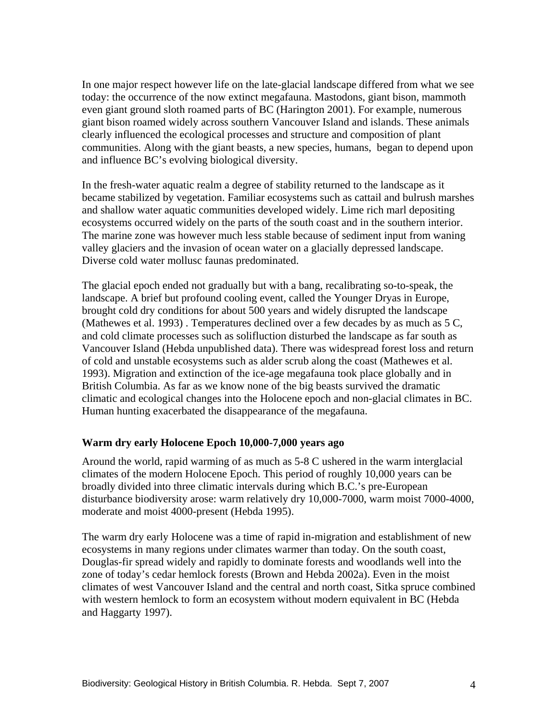In one major respect however life on the late-glacial landscape differed from what we see today: the occurrence of the now extinct megafauna. Mastodons, giant bison, mammoth even giant ground sloth roamed parts of BC (Harington 2001). For example, numerous giant bison roamed widely across southern Vancouver Island and islands. These animals clearly influenced the ecological processes and structure and composition of plant communities. Along with the giant beasts, a new species, humans, began to depend upon and influence BC's evolving biological diversity.

In the fresh-water aquatic realm a degree of stability returned to the landscape as it became stabilized by vegetation. Familiar ecosystems such as cattail and bulrush marshes and shallow water aquatic communities developed widely. Lime rich marl depositing ecosystems occurred widely on the parts of the south coast and in the southern interior. The marine zone was however much less stable because of sediment input from waning valley glaciers and the invasion of ocean water on a glacially depressed landscape. Diverse cold water mollusc faunas predominated.

The glacial epoch ended not gradually but with a bang, recalibrating so-to-speak, the landscape. A brief but profound cooling event, called the Younger Dryas in Europe, brought cold dry conditions for about 500 years and widely disrupted the landscape (Mathewes et al. 1993) . Temperatures declined over a few decades by as much as 5 C, and cold climate processes such as solifluction disturbed the landscape as far south as Vancouver Island (Hebda unpublished data). There was widespread forest loss and return of cold and unstable ecosystems such as alder scrub along the coast (Mathewes et al. 1993). Migration and extinction of the ice-age megafauna took place globally and in British Columbia. As far as we know none of the big beasts survived the dramatic climatic and ecological changes into the Holocene epoch and non-glacial climates in BC. Human hunting exacerbated the disappearance of the megafauna.

### **Warm dry early Holocene Epoch 10,000-7,000 years ago**

Around the world, rapid warming of as much as 5-8 C ushered in the warm interglacial climates of the modern Holocene Epoch. This period of roughly 10,000 years can be broadly divided into three climatic intervals during which B.C.'s pre-European disturbance biodiversity arose: warm relatively dry 10,000-7000, warm moist 7000-4000, moderate and moist 4000-present (Hebda 1995).

The warm dry early Holocene was a time of rapid in-migration and establishment of new ecosystems in many regions under climates warmer than today. On the south coast, Douglas-fir spread widely and rapidly to dominate forests and woodlands well into the zone of today's cedar hemlock forests (Brown and Hebda 2002a). Even in the moist climates of west Vancouver Island and the central and north coast, Sitka spruce combined with western hemlock to form an ecosystem without modern equivalent in BC (Hebda and Haggarty 1997).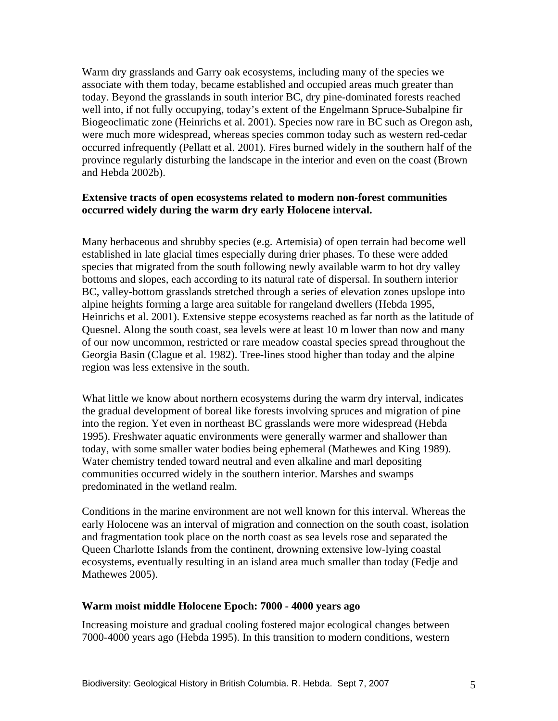Warm dry grasslands and Garry oak ecosystems, including many of the species we associate with them today, became established and occupied areas much greater than today. Beyond the grasslands in south interior BC, dry pine-dominated forests reached well into, if not fully occupying, today's extent of the Engelmann Spruce-Subalpine fir Biogeoclimatic zone (Heinrichs et al. 2001). Species now rare in BC such as Oregon ash, were much more widespread, whereas species common today such as western red-cedar occurred infrequently (Pellatt et al. 2001). Fires burned widely in the southern half of the province regularly disturbing the landscape in the interior and even on the coast (Brown and Hebda 2002b).

### **Extensive tracts of open ecosystems related to modern non-forest communities occurred widely during the warm dry early Holocene interval.**

Many herbaceous and shrubby species (e.g. Artemisia) of open terrain had become well established in late glacial times especially during drier phases. To these were added species that migrated from the south following newly available warm to hot dry valley bottoms and slopes, each according to its natural rate of dispersal. In southern interior BC, valley-bottom grasslands stretched through a series of elevation zones upslope into alpine heights forming a large area suitable for rangeland dwellers (Hebda 1995, Heinrichs et al. 2001). Extensive steppe ecosystems reached as far north as the latitude of Quesnel. Along the south coast, sea levels were at least 10 m lower than now and many of our now uncommon, restricted or rare meadow coastal species spread throughout the Georgia Basin (Clague et al. 1982). Tree-lines stood higher than today and the alpine region was less extensive in the south.

What little we know about northern ecosystems during the warm dry interval, indicates the gradual development of boreal like forests involving spruces and migration of pine into the region. Yet even in northeast BC grasslands were more widespread (Hebda 1995). Freshwater aquatic environments were generally warmer and shallower than today, with some smaller water bodies being ephemeral (Mathewes and King 1989). Water chemistry tended toward neutral and even alkaline and marl depositing communities occurred widely in the southern interior. Marshes and swamps predominated in the wetland realm.

Conditions in the marine environment are not well known for this interval. Whereas the early Holocene was an interval of migration and connection on the south coast, isolation and fragmentation took place on the north coast as sea levels rose and separated the Queen Charlotte Islands from the continent, drowning extensive low-lying coastal ecosystems, eventually resulting in an island area much smaller than today (Fedje and Mathewes 2005).

### **Warm moist middle Holocene Epoch: 7000 - 4000 years ago**

Increasing moisture and gradual cooling fostered major ecological changes between 7000-4000 years ago (Hebda 1995). In this transition to modern conditions, western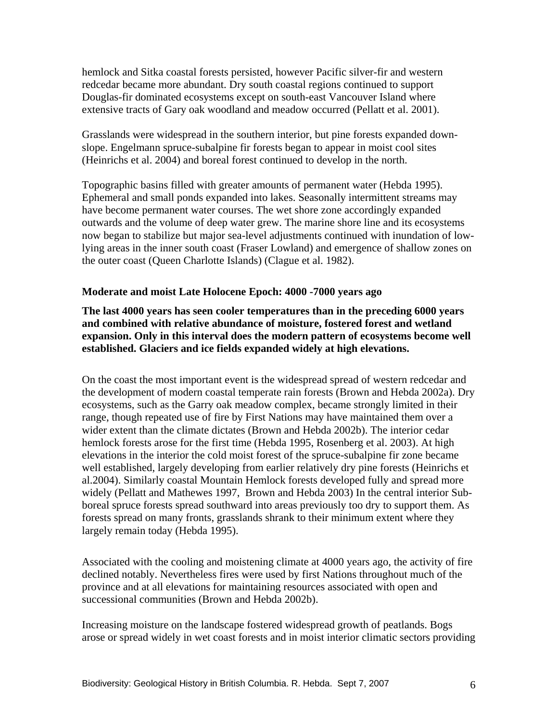hemlock and Sitka coastal forests persisted, however Pacific silver-fir and western redcedar became more abundant. Dry south coastal regions continued to support Douglas-fir dominated ecosystems except on south-east Vancouver Island where extensive tracts of Gary oak woodland and meadow occurred (Pellatt et al. 2001).

Grasslands were widespread in the southern interior, but pine forests expanded downslope. Engelmann spruce-subalpine fir forests began to appear in moist cool sites (Heinrichs et al. 2004) and boreal forest continued to develop in the north.

Topographic basins filled with greater amounts of permanent water (Hebda 1995). Ephemeral and small ponds expanded into lakes. Seasonally intermittent streams may have become permanent water courses. The wet shore zone accordingly expanded outwards and the volume of deep water grew. The marine shore line and its ecosystems now began to stabilize but major sea-level adjustments continued with inundation of lowlying areas in the inner south coast (Fraser Lowland) and emergence of shallow zones on the outer coast (Queen Charlotte Islands) (Clague et al. 1982).

#### **Moderate and moist Late Holocene Epoch: 4000 -7000 years ago**

**The last 4000 years has seen cooler temperatures than in the preceding 6000 years and combined with relative abundance of moisture, fostered forest and wetland expansion. Only in this interval does the modern pattern of ecosystems become well established. Glaciers and ice fields expanded widely at high elevations.** 

On the coast the most important event is the widespread spread of western redcedar and the development of modern coastal temperate rain forests (Brown and Hebda 2002a). Dry ecosystems, such as the Garry oak meadow complex, became strongly limited in their range, though repeated use of fire by First Nations may have maintained them over a wider extent than the climate dictates (Brown and Hebda 2002b). The interior cedar hemlock forests arose for the first time (Hebda 1995, Rosenberg et al. 2003). At high elevations in the interior the cold moist forest of the spruce-subalpine fir zone became well established, largely developing from earlier relatively dry pine forests (Heinrichs et al.2004). Similarly coastal Mountain Hemlock forests developed fully and spread more widely (Pellatt and Mathewes 1997, Brown and Hebda 2003) In the central interior Subboreal spruce forests spread southward into areas previously too dry to support them. As forests spread on many fronts, grasslands shrank to their minimum extent where they largely remain today (Hebda 1995).

Associated with the cooling and moistening climate at 4000 years ago, the activity of fire declined notably. Nevertheless fires were used by first Nations throughout much of the province and at all elevations for maintaining resources associated with open and successional communities (Brown and Hebda 2002b).

Increasing moisture on the landscape fostered widespread growth of peatlands. Bogs arose or spread widely in wet coast forests and in moist interior climatic sectors providing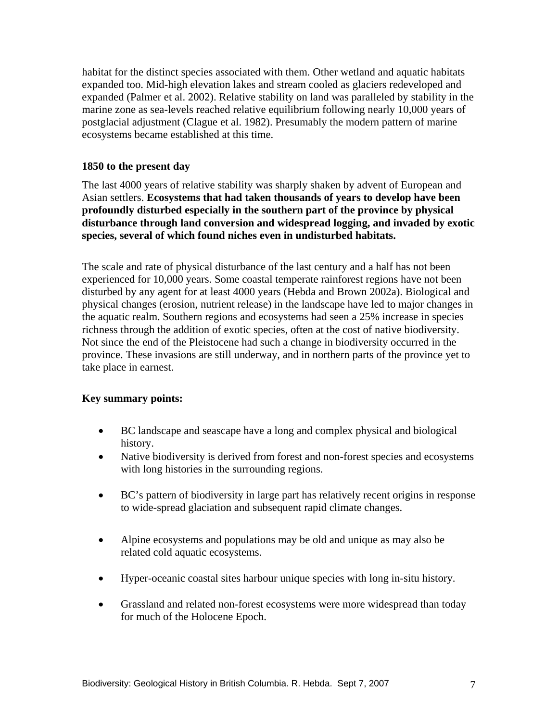habitat for the distinct species associated with them. Other wetland and aquatic habitats expanded too. Mid-high elevation lakes and stream cooled as glaciers redeveloped and expanded (Palmer et al. 2002). Relative stability on land was paralleled by stability in the marine zone as sea-levels reached relative equilibrium following nearly 10,000 years of postglacial adjustment (Clague et al. 1982). Presumably the modern pattern of marine ecosystems became established at this time.

### **1850 to the present day**

The last 4000 years of relative stability was sharply shaken by advent of European and Asian settlers. **Ecosystems that had taken thousands of years to develop have been profoundly disturbed especially in the southern part of the province by physical disturbance through land conversion and widespread logging, and invaded by exotic species, several of which found niches even in undisturbed habitats.**

The scale and rate of physical disturbance of the last century and a half has not been experienced for 10,000 years. Some coastal temperate rainforest regions have not been disturbed by any agent for at least 4000 years (Hebda and Brown 2002a). Biological and physical changes (erosion, nutrient release) in the landscape have led to major changes in the aquatic realm. Southern regions and ecosystems had seen a 25% increase in species richness through the addition of exotic species, often at the cost of native biodiversity. Not since the end of the Pleistocene had such a change in biodiversity occurred in the province. These invasions are still underway, and in northern parts of the province yet to take place in earnest.

### **Key summary points:**

- BC landscape and seascape have a long and complex physical and biological history.
- Native biodiversity is derived from forest and non-forest species and ecosystems with long histories in the surrounding regions.
- BC's pattern of biodiversity in large part has relatively recent origins in response to wide-spread glaciation and subsequent rapid climate changes.
- Alpine ecosystems and populations may be old and unique as may also be related cold aquatic ecosystems.
- Hyper-oceanic coastal sites harbour unique species with long in-situ history.
- Grassland and related non-forest ecosystems were more widespread than today for much of the Holocene Epoch.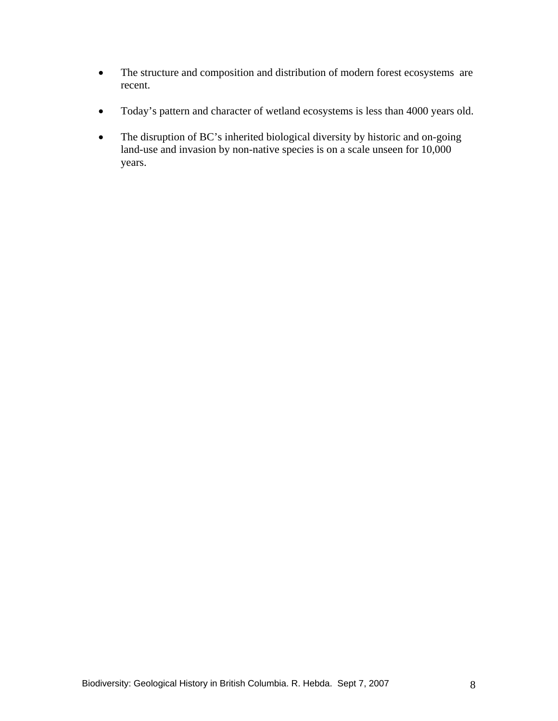- The structure and composition and distribution of modern forest ecosystems are recent.
- Today's pattern and character of wetland ecosystems is less than 4000 years old.
- The disruption of BC's inherited biological diversity by historic and on-going land-use and invasion by non-native species is on a scale unseen for 10,000 years.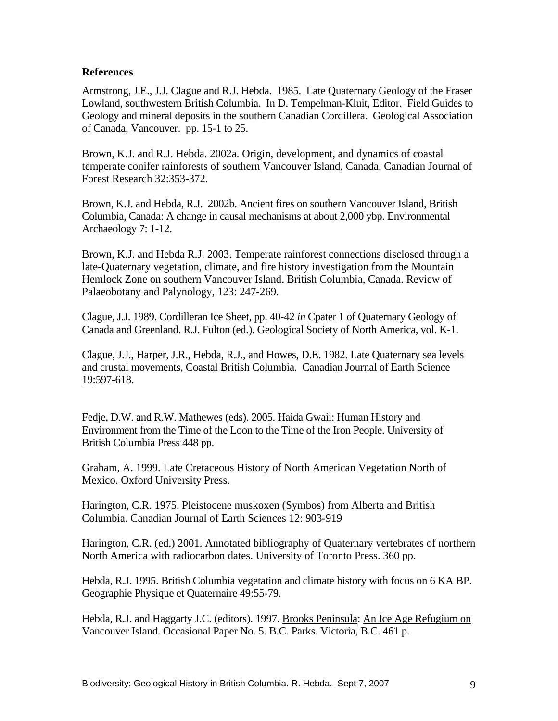### **References**

Armstrong, J.E., J.J. Clague and R.J. Hebda. 1985. Late Quaternary Geology of the Fraser Lowland, southwestern British Columbia. In D. Tempelman-Kluit, Editor. Field Guides to Geology and mineral deposits in the southern Canadian Cordillera. Geological Association of Canada, Vancouver. pp. 15-1 to 25.

Brown, K.J. and R.J. Hebda. 2002a. Origin, development, and dynamics of coastal temperate conifer rainforests of southern Vancouver Island, Canada. Canadian Journal of Forest Research 32:353-372.

Brown, K.J. and Hebda, R.J. 2002b. Ancient fires on southern Vancouver Island, British Columbia, Canada: A change in causal mechanisms at about 2,000 ybp. Environmental Archaeology 7: 1-12.

Brown, K.J. and Hebda R.J. 2003. Temperate rainforest connections disclosed through a late-Quaternary vegetation, climate, and fire history investigation from the Mountain Hemlock Zone on southern Vancouver Island, British Columbia, Canada. Review of Palaeobotany and Palynology, 123: 247-269.

Clague, J.J. 1989. Cordilleran Ice Sheet, pp. 40-42 *in* Cpater 1 of Quaternary Geology of Canada and Greenland. R.J. Fulton (ed.). Geological Society of North America, vol. K-1.

Clague, J.J., Harper, J.R., Hebda, R.J., and Howes, D.E. 1982. Late Quaternary sea levels and crustal movements, Coastal British Columbia. Canadian Journal of Earth Science 19:597-618.

Fedje, D.W. and R.W. Mathewes (eds). 2005. Haida Gwaii: Human History and Environment from the Time of the Loon to the Time of the Iron People. University of British Columbia Press 448 pp.

Graham, A. 1999. Late Cretaceous History of North American Vegetation North of Mexico. Oxford University Press.

Harington, C.R. 1975. Pleistocene muskoxen (Symbos) from Alberta and British Columbia. Canadian Journal of Earth Sciences 12: 903-919

Harington, C.R. (ed.) 2001. Annotated bibliography of Quaternary vertebrates of northern North America with radiocarbon dates. University of Toronto Press. 360 pp.

Hebda, R.J. 1995. British Columbia vegetation and climate history with focus on 6 KA BP. Geographie Physique et Quaternaire 49:55-79.

Hebda, R.J. and Haggarty J.C. (editors). 1997. Brooks Peninsula: An Ice Age Refugium on Vancouver Island. Occasional Paper No. 5. B.C. Parks. Victoria, B.C. 461 p.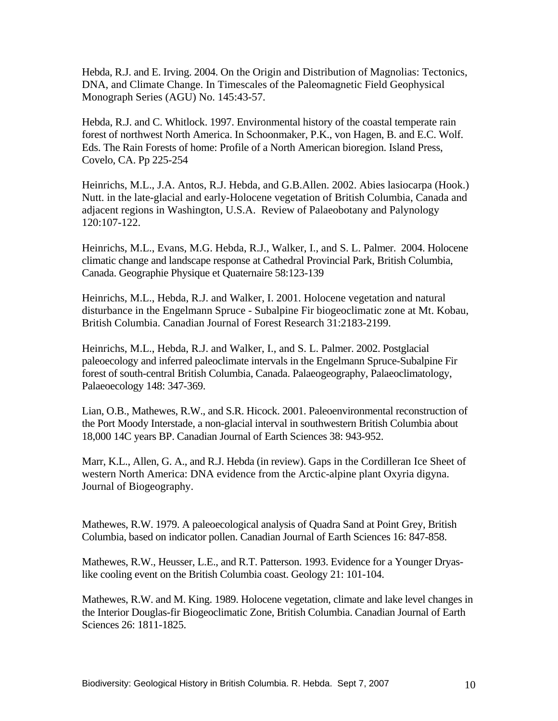Hebda, R.J. and E. Irving. 2004. On the Origin and Distribution of Magnolias: Tectonics, DNA, and Climate Change. In Timescales of the Paleomagnetic Field Geophysical Monograph Series (AGU) No. 145:43-57.

Hebda, R.J. and C. Whitlock. 1997. Environmental history of the coastal temperate rain forest of northwest North America. In Schoonmaker, P.K., von Hagen, B. and E.C. Wolf. Eds. The Rain Forests of home: Profile of a North American bioregion. Island Press, Covelo, CA. Pp 225-254

Heinrichs, M.L., J.A. Antos, R.J. Hebda, and G.B.Allen. 2002. Abies lasiocarpa (Hook.) Nutt. in the late-glacial and early-Holocene vegetation of British Columbia, Canada and adjacent regions in Washington, U.S.A. Review of Palaeobotany and Palynology 120:107-122.

Heinrichs, M.L., Evans, M.G. Hebda, R.J., Walker, I., and S. L. Palmer. 2004. Holocene climatic change and landscape response at Cathedral Provincial Park, British Columbia, Canada. Geographie Physique et Quaternaire 58:123-139

Heinrichs, M.L., Hebda, R.J. and Walker, I. 2001. Holocene vegetation and natural disturbance in the Engelmann Spruce - Subalpine Fir biogeoclimatic zone at Mt. Kobau, British Columbia. Canadian Journal of Forest Research 31:2183-2199.

Heinrichs, M.L., Hebda, R.J. and Walker, I., and S. L. Palmer. 2002. Postglacial paleoecology and inferred paleoclimate intervals in the Engelmann Spruce-Subalpine Fir forest of south-central British Columbia, Canada. Palaeogeography, Palaeoclimatology, Palaeoecology 148: 347-369.

Lian, O.B., Mathewes, R.W., and S.R. Hicock. 2001. Paleoenvironmental reconstruction of the Port Moody Interstade, a non-glacial interval in southwestern British Columbia about 18,000 14C years BP. Canadian Journal of Earth Sciences 38: 943-952.

Marr, K.L., Allen, G. A., and R.J. Hebda (in review). Gaps in the Cordilleran Ice Sheet of western North America: DNA evidence from the Arctic-alpine plant Oxyria digyna. Journal of Biogeography.

Mathewes, R.W. 1979. A paleoecological analysis of Quadra Sand at Point Grey, British Columbia, based on indicator pollen. Canadian Journal of Earth Sciences 16: 847-858.

Mathewes, R.W., Heusser, L.E., and R.T. Patterson. 1993. Evidence for a Younger Dryaslike cooling event on the British Columbia coast. Geology 21: 101-104.

Mathewes, R.W. and M. King. 1989. Holocene vegetation, climate and lake level changes in the Interior Douglas-fir Biogeoclimatic Zone, British Columbia. Canadian Journal of Earth Sciences 26: 1811-1825.